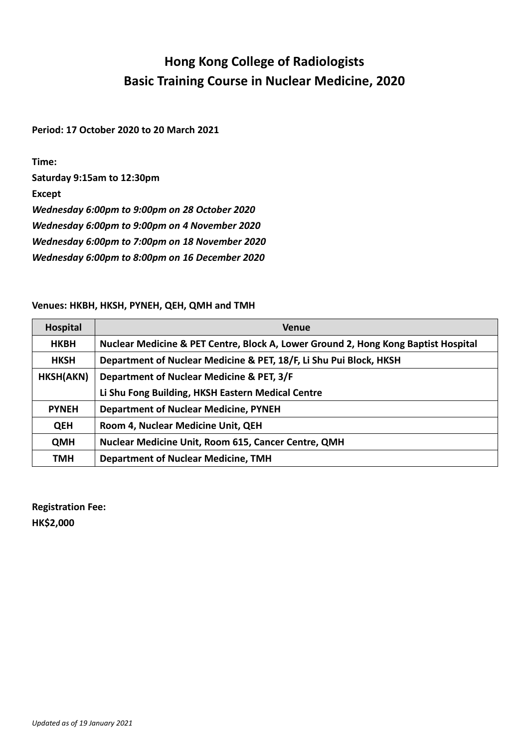## **Hong Kong College of Radiologists Basic Training Course in Nuclear Medicine, 2020**

**Period: 17 October 2020 to 20 March 2021**

**Time:** 

**Saturday 9:15am to 12:30pm**

**Except**

*Wednesday 6:00pm to 9:00pm on 28 October 2020*

*Wednesday 6:00pm to 9:00pm on 4 November 2020*

*Wednesday 6:00pm to 7:00pm on 18 November 2020*

*Wednesday 6:00pm to 8:00pm on 16 December 2020*

## **Venues: HKBH, HKSH, PYNEH, QEH, QMH and TMH**

| Hospital     | <b>Venue</b>                                                                       |  |  |  |
|--------------|------------------------------------------------------------------------------------|--|--|--|
| <b>HKBH</b>  | Nuclear Medicine & PET Centre, Block A, Lower Ground 2, Hong Kong Baptist Hospital |  |  |  |
| <b>HKSH</b>  | Department of Nuclear Medicine & PET, 18/F, Li Shu Pui Block, HKSH                 |  |  |  |
| HKSH(AKN)    | Department of Nuclear Medicine & PET, 3/F                                          |  |  |  |
|              | Li Shu Fong Building, HKSH Eastern Medical Centre                                  |  |  |  |
| <b>PYNEH</b> | <b>Department of Nuclear Medicine, PYNEH</b>                                       |  |  |  |
| <b>QEH</b>   | Room 4, Nuclear Medicine Unit, QEH                                                 |  |  |  |
| <b>QMH</b>   | <b>Nuclear Medicine Unit, Room 615, Cancer Centre, QMH</b>                         |  |  |  |
| TMH          | <b>Department of Nuclear Medicine, TMH</b>                                         |  |  |  |

**Registration Fee: HK\$2,000**